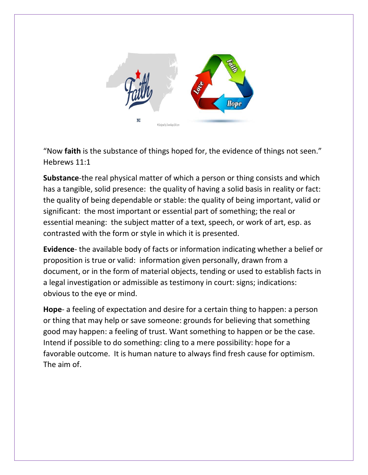

"Now **faith** is the substance of things hoped for, the evidence of things not seen." Hebrews 11:1

**Substance**-the real physical matter of which a person or thing consists and which has a tangible, solid presence: the quality of having a solid basis in reality or fact: the quality of being dependable or stable: the quality of being important, valid or significant: the most important or essential part of something; the real or essential meaning: the subject matter of a text, speech, or work of art, esp. as contrasted with the form or style in which it is presented.

**Evidence**- the available body of facts or information indicating whether a belief or proposition is true or valid: information given personally, drawn from a document, or in the form of material objects, tending or used to establish facts in a legal investigation or admissible as testimony in court: signs; indications: obvious to the eye or mind.

**Hope**- a feeling of expectation and desire for a certain thing to happen: a person or thing that may help or save someone: grounds for believing that something good may happen: a feeling of trust. Want something to happen or be the case. Intend if possible to do something: cling to a mere possibility: hope for a favorable outcome. It is human nature to always find fresh cause for optimism. The aim of.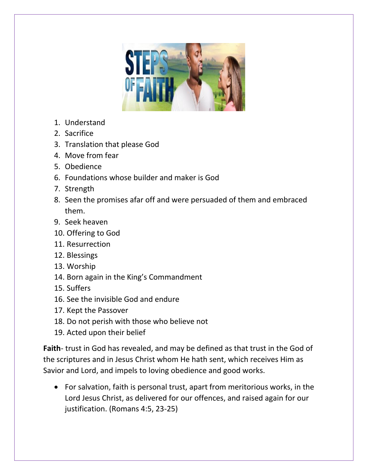

- 1. Understand
- 2. Sacrifice
- 3. Translation that please God
- 4. Move from fear
- 5. Obedience
- 6. Foundations whose builder and maker is God
- 7. Strength
- 8. Seen the promises afar off and were persuaded of them and embraced them.
- 9. Seek heaven
- 10. Offering to God
- 11. Resurrection
- 12. Blessings
- 13. Worship
- 14. Born again in the King's Commandment
- 15. Suffers
- 16. See the invisible God and endure
- 17. Kept the Passover
- 18. Do not perish with those who believe not
- 19. Acted upon their belief

**Faith**- trust in God has revealed, and may be defined as that trust in the God of the scriptures and in Jesus Christ whom He hath sent, which receives Him as Savior and Lord, and impels to loving obedience and good works.

• For salvation, faith is personal trust, apart from meritorious works, in the Lord Jesus Christ, as delivered for our offences, and raised again for our justification. (Romans 4:5, 23-25)